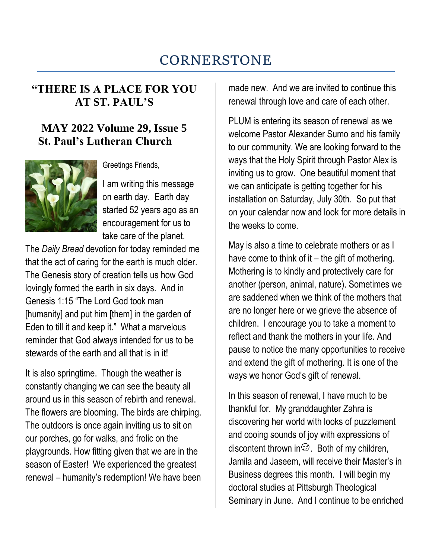# CORNERSTONE

## **"THERE IS A PLACE FOR YOU AT ST. PAUL'S**

### **MAY 2022 Volume 29, Issue 5 St. Paul's Lutheran Church**



Greetings Friends,

I am writing this message on earth day. Earth day started 52 years ago as an encouragement for us to take care of the planet.

The *Daily Bread* devotion for today reminded me that the act of caring for the earth is much older. The Genesis story of creation tells us how God lovingly formed the earth in six days. And in Genesis 1:15 "The Lord God took man [humanity] and put him [them] in the garden of Eden to till it and keep it." What a marvelous reminder that God always intended for us to be stewards of the earth and all that is in it!

It is also springtime. Though the weather is constantly changing we can see the beauty all around us in this season of rebirth and renewal. The flowers are blooming. The birds are chirping. The outdoors is once again inviting us to sit on our porches, go for walks, and frolic on the playgrounds. How fitting given that we are in the season of Easter! We experienced the greatest renewal – humanity's redemption! We have been made new. And we are invited to continue this renewal through love and care of each other.

PLUM is entering its season of renewal as we welcome Pastor Alexander Sumo and his family to our community. We are looking forward to the ways that the Holy Spirit through Pastor Alex is inviting us to grow. One beautiful moment that we can anticipate is getting together for his installation on Saturday, July 30th. So put that on your calendar now and look for more details in the weeks to come.

May is also a time to celebrate mothers or as I have come to think of it  $-$  the gift of mothering. Mothering is to kindly and protectively care for another (person, animal, nature). Sometimes we are saddened when we think of the mothers that are no longer here or we grieve the absence of children. I encourage you to take a moment to reflect and thank the mothers in your life. And pause to notice the many opportunities to receive and extend the gift of mothering. It is one of the ways we honor God's gift of renewal.

In this season of renewal, I have much to be thankful for. My granddaughter Zahra is discovering her world with looks of puzzlement and cooing sounds of joy with expressions of discontent thrown in  $\mathcal{D}$ . Both of my children, Jamila and Jaseem, will receive their Master's in Business degrees this month. I will begin my doctoral studies at Pittsburgh Theological Seminary in June. And I continue to be enriched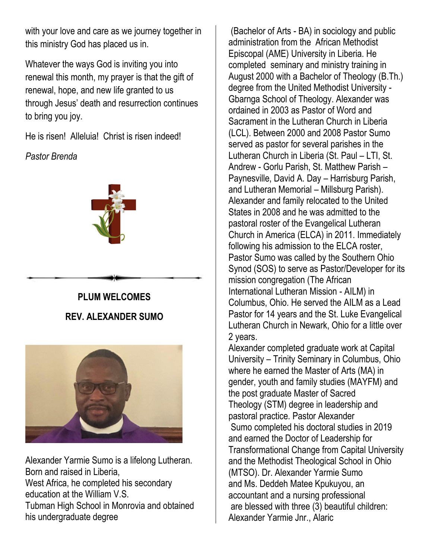with your love and care as we journey together in this ministry God has placed us in.

Whatever the ways God is inviting you into renewal this month, my prayer is that the gift of renewal, hope, and new life granted to us through Jesus' death and resurrection continues to bring you joy.

He is risen! Alleluia! Christ is risen indeed!

*Pastor Brenda* 



## **PLUM WELCOMES REV. ALEXANDER SUMO**



Alexander Yarmie Sumo is a lifelong Lutheran. Born and raised in Liberia, West Africa, he completed his secondary education at the William V.S. Tubman High School in Monrovia and obtained his undergraduate degree

(Bachelor of Arts - BA) in sociology and public administration from the African Methodist Episcopal (AME) University in Liberia. He completed seminary and ministry training in August 2000 with a Bachelor of Theology (B.Th.) degree from the United Methodist University - Gbarnga School of Theology. Alexander was ordained in 2003 as Pastor of Word and Sacrament in the Lutheran Church in Liberia (LCL). Between 2000 and 2008 Pastor Sumo served as pastor for several parishes in the Lutheran Church in Liberia (St. Paul – LTI, St. Andrew - Gorlu Parish, St. Matthew Parish – Paynesville, David A. Day – Harrisburg Parish, and Lutheran Memorial – Millsburg Parish). Alexander and family relocated to the United States in 2008 and he was admitted to the pastoral roster of the Evangelical Lutheran Church in America (ELCA) in 2011. Immediately following his admission to the ELCA roster, Pastor Sumo was called by the Southern Ohio Synod (SOS) to serve as Pastor/Developer for its mission congregation (The African International Lutheran Mission - AILM) in Columbus, Ohio. He served the AILM as a Lead Pastor for 14 years and the St. Luke Evangelical Lutheran Church in Newark, Ohio for a little over 2 years.

Alexander completed graduate work at Capital University – Trinity Seminary in Columbus, Ohio where he earned the Master of Arts (MA) in gender, youth and family studies (MAYFM) and the post graduate Master of Sacred Theology (STM) degree in leadership and pastoral practice. Pastor Alexander Sumo completed his doctoral studies in 2019 and earned the Doctor of Leadership for Transformational Change from Capital University and the Methodist Theological School in Ohio (MTSO). Dr. Alexander Yarmie Sumo and Ms. Deddeh Matee Kpukuyou, an accountant and a nursing professional are blessed with three (3) beautiful children: Alexander Yarmie Jnr., Alaric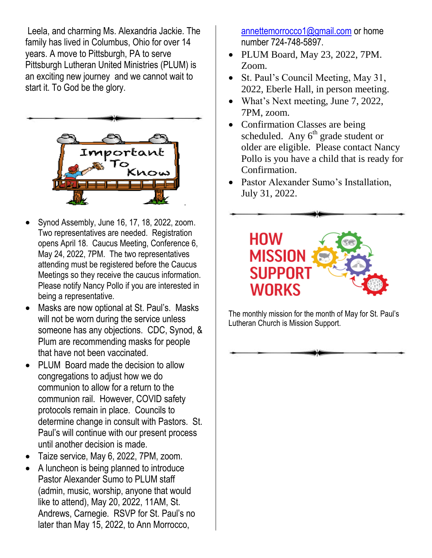Leela, and charming Ms. Alexandria Jackie. The family has lived in Columbus, Ohio for over 14 years. A move to Pittsburgh, PA to serve Pittsburgh Lutheran United Ministries (PLUM) is an exciting new journey and we cannot wait to start it. To God be the glory.



- Synod Assembly, June 16, 17, 18, 2022, zoom. Two representatives are needed. Registration opens April 18. Caucus Meeting, Conference 6, May 24, 2022, 7PM. The two representatives attending must be registered before the Caucus Meetings so they receive the caucus information. Please notify Nancy Pollo if you are interested in being a representative.
- Masks are now optional at St. Paul's. Masks will not be worn during the service unless someone has any objections. CDC, Synod, & Plum are recommending masks for people that have not been vaccinated.
- PLUM Board made the decision to allow congregations to adjust how we do communion to allow for a return to the communion rail. However, COVID safety protocols remain in place. Councils to determine change in consult with Pastors. St. Paul's will continue with our present process until another decision is made.
- Taize service, May 6, 2022, 7PM, zoom.
- A luncheon is being planned to introduce Pastor Alexander Sumo to PLUM staff (admin, music, worship, anyone that would like to attend), May 20, 2022, 11AM, St. Andrews, Carnegie. RSVP for St. Paul's no later than May 15, 2022, to Ann Morrocco,

[annettemorrocco1@gmail.com](mailto:annettemorrocco1@gmail.com) or home number 724-748-5897.

- PLUM Board, May 23, 2022, 7PM. Zoom.
- St. Paul's Council Meeting, May 31, 2022, Eberle Hall, in person meeting.
- What's Next meeting, June 7, 2022, 7PM, zoom.
- Confirmation Classes are being scheduled. Any  $6<sup>th</sup>$  grade student or older are eligible. Please contact Nancy Pollo is you have a child that is ready for Confirmation.
- Pastor Alexander Sumo's Installation, July 31, 2022.



The monthly mission for the month of May for St. Paul's Lutheran Church is Mission Support.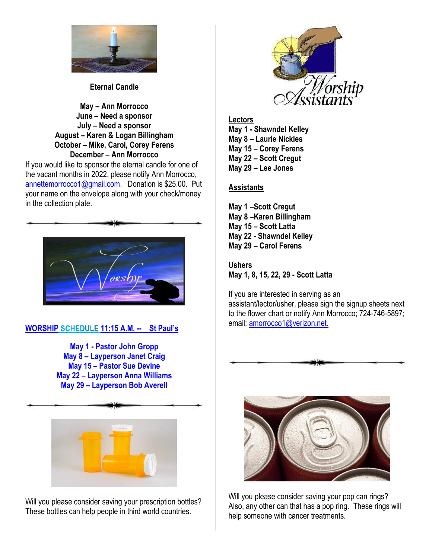

**Eternal Candle**

**May – Ann Morrocco June – Need a sponsor July – Need a sponsor August – Karen & Logan Billingham October – Mike, Carol, Corey Ferens December – Ann Morrocco**

If you would like to sponsor the eternal candle for one of the vacant months in 2022, please notify Ann Morrocco, [annettemorrocco1@gmail.com.](mailto:annettemorrocco1@gmail.com) Donation is \$25.00. Put your name on the envelope along with your check/money in the collection plate.



### **WORSHIP 11:15 A.M. -- St Paul's**

**May 1 - Pastor John Gropp May 8 – Layperson Janet Craig May 15 – Pastor Sue Devine May 22 – Layperson Anna Williams May 29 – Layperson Bob Averell**



Will you please consider saving your prescription bottles? These bottles can help people in third world countries.



**Lectors May 1 - Shawndel Kelley May 8 – Laurie Nickles May 15 – Corey Ferens May 22 – Scott Cregut May 29 – Lee Jones**

#### **Assistants**

**May 1 –Scott Cregut May 8 –Karen Billingham May 15 – Scott Latta May 22 - Shawndel Kelley May 29 – Carol Ferens**

#### **Ushers**

**May 1, 8, 15, 22, 29 - Scott Latta**

If you are interested in serving as an assistant/lector/usher, please sign the signup sheets next to the flower chart or notify Ann Morrocco; 724-746-5897; email: [amorrocco1@verizon.net.](mailto:amorrocco1@verizon.net)



Will you please consider saving your pop can rings? Also, any other can that has a pop ring. These rings will help someone with cancer treatments.